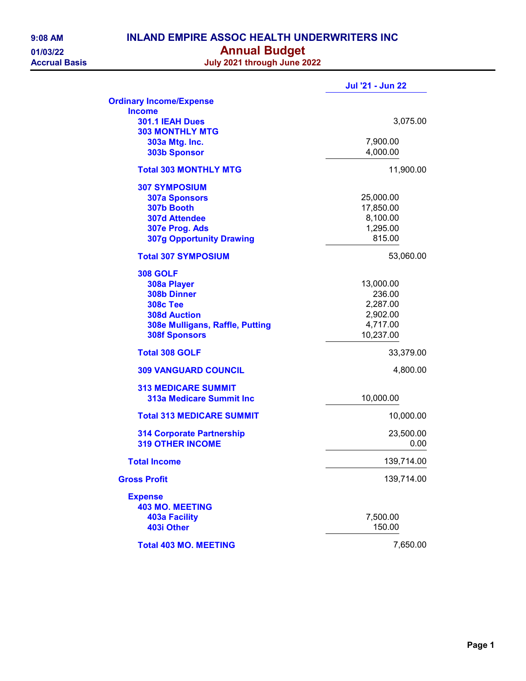| 9:08 AM            |
|--------------------|
| 01/03/22           |
| <b>Accrual Bas</b> |

## INLAND EMPIRE ASSOC HEALTH UNDERWRITERS INC 01/03/22 **Annual Budget**

Accrual Basis July 2021 through June 2022

|                                  | <b>Jul '21 - Jun 22</b> |
|----------------------------------|-------------------------|
| <b>Ordinary Income/Expense</b>   |                         |
| <b>Income</b>                    |                         |
| 301.1 IEAH Dues                  | 3,075.00                |
| <b>303 MONTHLY MTG</b>           |                         |
| 303a Mtg. Inc.                   | 7,900.00                |
| <b>303b Sponsor</b>              | 4,000.00                |
| <b>Total 303 MONTHLY MTG</b>     | 11,900.00               |
| <b>307 SYMPOSIUM</b>             |                         |
| <b>307a Sponsors</b>             | 25,000.00               |
| 307b Booth                       | 17,850.00               |
| <b>307d Attendee</b>             | 8,100.00                |
| 307e Prog. Ads                   | 1,295.00                |
| <b>307g Opportunity Drawing</b>  | 815.00                  |
| <b>Total 307 SYMPOSIUM</b>       | 53,060.00               |
| <b>308 GOLF</b>                  |                         |
| 308a Player                      | 13,000.00               |
| 308b Dinner                      | 236.00                  |
| <b>308c Tee</b>                  | 2,287.00                |
| <b>308d Auction</b>              | 2,902.00                |
| 308e Mulligans, Raffle, Putting  | 4,717.00                |
| <b>308f Sponsors</b>             | 10,237.00               |
| <b>Total 308 GOLF</b>            | 33,379.00               |
| <b>309 VANGUARD COUNCIL</b>      | 4,800.00                |
| <b>313 MEDICARE SUMMIT</b>       |                         |
| <b>313a Medicare Summit Inc</b>  | 10,000.00               |
| <b>Total 313 MEDICARE SUMMIT</b> | 10,000.00               |
| <b>314 Corporate Partnership</b> | 23,500.00               |
| <b>319 OTHER INCOME</b>          | 0.00                    |
| <b>Total Income</b>              | 139,714.00              |
| <b>Gross Profit</b>              | 139,714.00              |
| <b>Expense</b>                   |                         |
| <b>403 MO. MEETING</b>           |                         |
| <b>403a Facility</b>             | 7,500.00                |
| 403i Other                       | 150.00                  |
| <b>Total 403 MO. MEETING</b>     | 7,650.00                |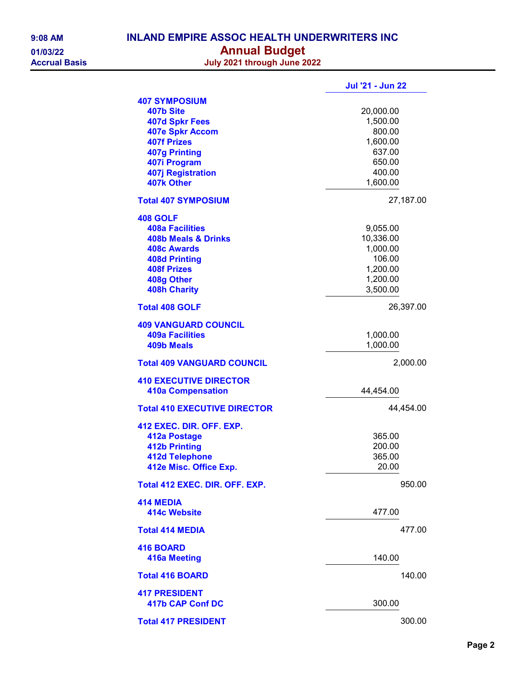| $9:08$ AM           |
|---------------------|
| 01/03/22            |
| <b>Accrual Basi</b> |

## INLAND EMPIRE ASSOC HEALTH UNDERWRITERS INC 01/03/22 **Annual Budget**

Accrual Basis July 2021 through June 2022

|                                     | <b>Jul '21 - Jun 22</b> |
|-------------------------------------|-------------------------|
| <b>407 SYMPOSIUM</b>                |                         |
| 407b Site                           | 20,000.00               |
| <b>407d Spkr Fees</b>               | 1,500.00                |
| <b>407e Spkr Accom</b>              | 800.00                  |
| <b>407f Prizes</b>                  | 1,600.00                |
| <b>407g Printing</b>                | 637.00                  |
| 407i Program                        | 650.00                  |
| <b>407j Registration</b>            | 400.00                  |
| 407k Other                          | 1,600.00                |
|                                     |                         |
| <b>Total 407 SYMPOSIUM</b>          | 27,187.00               |
| 408 GOLF                            |                         |
| <b>408a Facilities</b>              | 9,055.00                |
| <b>408b Meals &amp; Drinks</b>      | 10,336.00               |
| <b>408c Awards</b>                  | 1,000.00                |
| <b>408d Printing</b>                | 106.00                  |
|                                     | 1,200.00                |
| <b>408f Prizes</b>                  |                         |
| 408g Other                          | 1,200.00                |
| <b>408h Charity</b>                 | 3,500.00                |
| <b>Total 408 GOLF</b>               | 26,397.00               |
| <b>409 VANGUARD COUNCIL</b>         |                         |
| <b>409a Facilities</b>              | 1,000.00                |
| <b>409b Meals</b>                   | 1,000.00                |
|                                     |                         |
| <b>Total 409 VANGUARD COUNCIL</b>   | 2,000.00                |
| <b>410 EXECUTIVE DIRECTOR</b>       |                         |
| <b>410a Compensation</b>            | 44,454.00               |
| <b>Total 410 EXECUTIVE DIRECTOR</b> | 44,454.00               |
|                                     |                         |
| 412 EXEC. DIR. OFF. EXP.            |                         |
| 412a Postage                        | 365.00                  |
| <b>412b Printing</b>                | 200.00                  |
| <b>412d Telephone</b>               | 365.00                  |
| 412e Misc. Office Exp.              | 20.00                   |
| Total 412 EXEC, DIR, OFF, EXP.      | 950.00                  |
|                                     |                         |
| <b>414 MEDIA</b>                    |                         |
| 414c Website                        | 477.00                  |
| <b>Total 414 MEDIA</b>              | 477.00                  |
|                                     |                         |
| <b>416 BOARD</b>                    |                         |
| <b>416a Meeting</b>                 | 140.00                  |
| <b>Total 416 BOARD</b>              | 140.00                  |
|                                     |                         |
| <b>417 PRESIDENT</b>                |                         |
| 417b CAP Conf DC                    | 300.00                  |
| <b>Total 417 PRESIDENT</b>          | 300.00                  |
|                                     |                         |